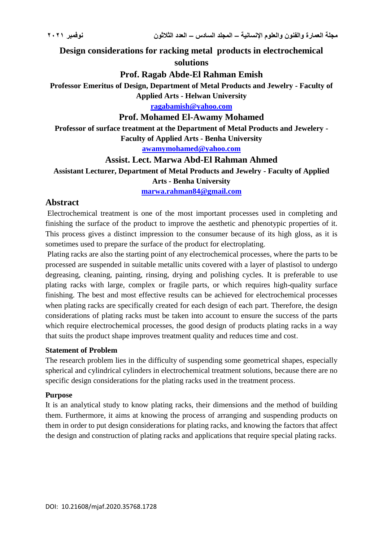**Design considerations for racking metal products in electrochemical solutions**

# **Prof. Ragab Abde-El Rahman Emish**

**Professor Emeritus of Design, Department of Metal Products and Jewelry - Faculty of Applied Arts - Helwan University**

**[ragabamish@yahoo.com](mailto:ragabamish@yahoo.com)**

### **Prof. Mohamed El-Awamy Mohamed**

**Professor of surface treatment at the Department of Metal Products and Jewelery - Faculty of Applied Arts - Benha University**

**[awamymohamed@yahoo.com](mailto:awamymohamed@yahoo.com)**

### **Assist. Lect. Marwa Abd-El Rahman Ahmed**

**Assistant Lecturer, Department of Metal Products and Jewelry - Faculty of Applied Arts - Benha University**

**[marwa.rahman84@gmail.com](mailto:marwa.rahman84@gmail.com)**

## **Abstract**

Electrochemical treatment is one of the most important processes used in completing and finishing the surface of the product to improve the aesthetic and phenotypic properties of it. This process gives a distinct impression to the consumer because of its high gloss, as it is sometimes used to prepare the surface of the product for electroplating.

Plating racks are also the starting point of any electrochemical processes, where the parts to be processed are suspended in suitable metallic units covered with a layer of plastisol to undergo degreasing, cleaning, painting, rinsing, drying and polishing cycles. It is preferable to use plating racks with large, complex or fragile parts, or which requires high-quality surface finishing. The best and most effective results can be achieved for electrochemical processes when plating racks are specifically created for each design of each part. Therefore, the design considerations of plating racks must be taken into account to ensure the success of the parts which require electrochemical processes, the good design of products plating racks in a way that suits the product shape improves treatment quality and reduces time and cost.

#### **Statement of Problem**

The research problem lies in the difficulty of suspending some geometrical shapes, especially spherical and cylindrical cylinders in electrochemical treatment solutions, because there are no specific design considerations for the plating racks used in the treatment process.

#### **Purpose**

It is an analytical study to know plating racks, their dimensions and the method of building them. Furthermore, it aims at knowing the process of arranging and suspending products on them in order to put design considerations for plating racks, and knowing the factors that affect the design and construction of plating racks and applications that require special plating racks.